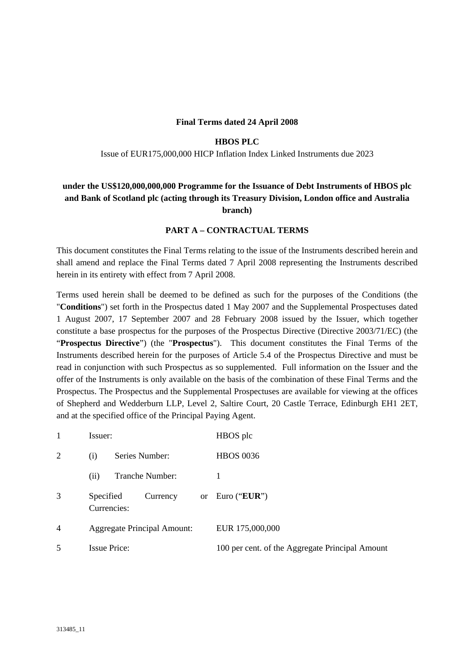### **Final Terms dated 24 April 2008**

### **HBOS PLC**

Issue of EUR175,000,000 HICP Inflation Index Linked Instruments due 2023

# **under the US\$120,000,000,000 Programme for the Issuance of Debt Instruments of HBOS plc and Bank of Scotland plc (acting through its Treasury Division, London office and Australia branch)**

### **PART A – CONTRACTUAL TERMS**

This document constitutes the Final Terms relating to the issue of the Instruments described herein and shall amend and replace the Final Terms dated 7 April 2008 representing the Instruments described herein in its entirety with effect from 7 April 2008.

Terms used herein shall be deemed to be defined as such for the purposes of the Conditions (the "**Conditions**") set forth in the Prospectus dated 1 May 2007 and the Supplemental Prospectuses dated 1 August 2007, 17 September 2007 and 28 February 2008 issued by the Issuer, which together constitute a base prospectus for the purposes of the Prospectus Directive (Directive 2003/71/EC) (the "**Prospectus Directive**") (the "**Prospectus**"). This document constitutes the Final Terms of the Instruments described herein for the purposes of Article 5.4 of the Prospectus Directive and must be read in conjunction with such Prospectus as so supplemented. Full information on the Issuer and the offer of the Instruments is only available on the basis of the combination of these Final Terms and the Prospectus. The Prospectus and the Supplemental Prospectuses are available for viewing at the offices of Shepherd and Wedderburn LLP, Level 2, Saltire Court, 20 Castle Terrace, Edinburgh EH1 2ET, and at the specified office of the Principal Paying Agent.

|   | Issuer:                              | HBOS plc                                        |
|---|--------------------------------------|-------------------------------------------------|
| 2 | Series Number:<br>(i)                | <b>HBOS 0036</b>                                |
|   | Tranche Number:<br>(i)               |                                                 |
| 3 | Specified<br>Currency<br>Currencies: | or Euro (" $EUR$ ")                             |
| 4 | <b>Aggregate Principal Amount:</b>   | EUR 175,000,000                                 |
| 5 | <b>Issue Price:</b>                  | 100 per cent. of the Aggregate Principal Amount |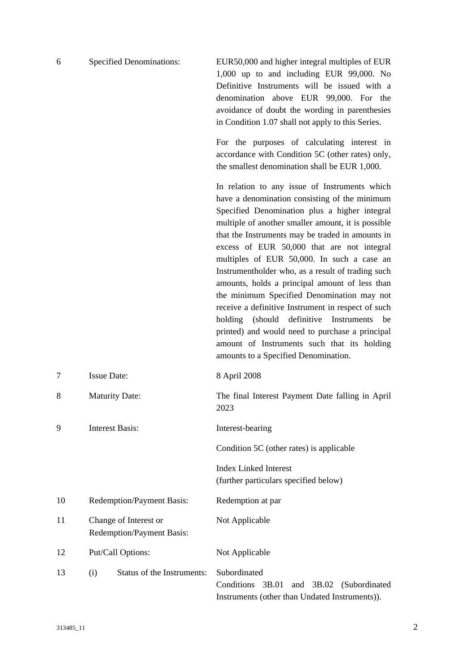| 6  |                    | <b>Specified Denominations:</b>                    | EUR50,000 and higher integral multiples of EUR<br>1,000 up to and including EUR 99,000. No<br>Definitive Instruments will be issued with a<br>denomination above EUR 99,000. For the<br>avoidance of doubt the wording in parenthesies<br>in Condition 1.07 shall not apply to this Series.                                                                                                                                                                                                                                                                                                                                                                                                                                                             |
|----|--------------------|----------------------------------------------------|---------------------------------------------------------------------------------------------------------------------------------------------------------------------------------------------------------------------------------------------------------------------------------------------------------------------------------------------------------------------------------------------------------------------------------------------------------------------------------------------------------------------------------------------------------------------------------------------------------------------------------------------------------------------------------------------------------------------------------------------------------|
|    |                    |                                                    | For the purposes of calculating interest in<br>accordance with Condition 5C (other rates) only,<br>the smallest denomination shall be EUR 1,000.                                                                                                                                                                                                                                                                                                                                                                                                                                                                                                                                                                                                        |
|    |                    |                                                    | In relation to any issue of Instruments which<br>have a denomination consisting of the minimum<br>Specified Denomination plus a higher integral<br>multiple of another smaller amount, it is possible<br>that the Instruments may be traded in amounts in<br>excess of EUR 50,000 that are not integral<br>multiples of EUR 50,000. In such a case an<br>Instrumentholder who, as a result of trading such<br>amounts, holds a principal amount of less than<br>the minimum Specified Denomination may not<br>receive a definitive Instrument in respect of such<br>holding (should definitive Instruments be<br>printed) and would need to purchase a principal<br>amount of Instruments such that its holding<br>amounts to a Specified Denomination. |
| 7  | <b>Issue Date:</b> |                                                    | 8 April 2008                                                                                                                                                                                                                                                                                                                                                                                                                                                                                                                                                                                                                                                                                                                                            |
| 8  |                    | <b>Maturity Date:</b>                              | The final Interest Payment Date falling in April<br>2023                                                                                                                                                                                                                                                                                                                                                                                                                                                                                                                                                                                                                                                                                                |
| 9  |                    | <b>Interest Basis:</b>                             | Interest-bearing                                                                                                                                                                                                                                                                                                                                                                                                                                                                                                                                                                                                                                                                                                                                        |
|    |                    |                                                    | Condition 5C (other rates) is applicable                                                                                                                                                                                                                                                                                                                                                                                                                                                                                                                                                                                                                                                                                                                |
|    |                    |                                                    | <b>Index Linked Interest</b><br>(further particulars specified below)                                                                                                                                                                                                                                                                                                                                                                                                                                                                                                                                                                                                                                                                                   |
| 10 |                    | Redemption/Payment Basis:                          | Redemption at par                                                                                                                                                                                                                                                                                                                                                                                                                                                                                                                                                                                                                                                                                                                                       |
| 11 |                    | Change of Interest or<br>Redemption/Payment Basis: | Not Applicable                                                                                                                                                                                                                                                                                                                                                                                                                                                                                                                                                                                                                                                                                                                                          |
| 12 |                    | Put/Call Options:                                  | Not Applicable                                                                                                                                                                                                                                                                                                                                                                                                                                                                                                                                                                                                                                                                                                                                          |
| 13 | (i)                | Status of the Instruments:                         | Subordinated<br>Conditions 3B.01<br>and<br>3B.02<br>(Subordinated<br>Instruments (other than Undated Instruments)).                                                                                                                                                                                                                                                                                                                                                                                                                                                                                                                                                                                                                                     |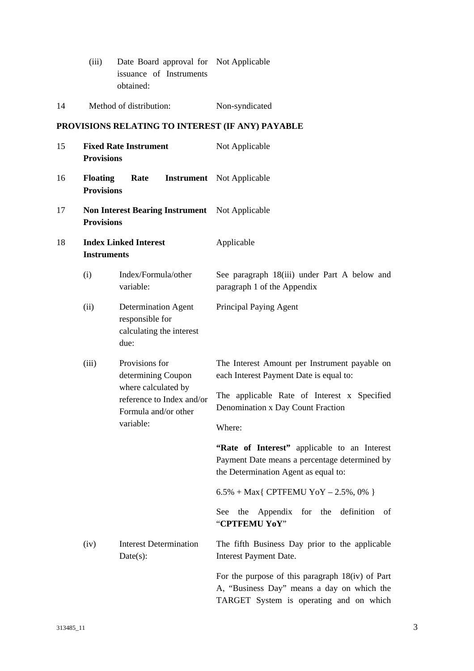| (iii) | Date Board approval for Not Applicable |  |
|-------|----------------------------------------|--|
|       | issuance of Instruments                |  |
|       | obtained:                              |  |

14 Method of distribution: Non-syndicated

# **PROVISIONS RELATING TO INTEREST (IF ANY) PAYABLE**

| 15                                                                                                                        | <b>Provisions</b>                                                                        | <b>Fixed Rate Instrument</b>                                               | Not Applicable                                                                                                                              |
|---------------------------------------------------------------------------------------------------------------------------|------------------------------------------------------------------------------------------|----------------------------------------------------------------------------|---------------------------------------------------------------------------------------------------------------------------------------------|
| 16                                                                                                                        | <b>Floating</b><br><b>Provisions</b>                                                     | Rate                                                                       | <b>Instrument</b> Not Applicable                                                                                                            |
| 17                                                                                                                        | <b>Provisions</b>                                                                        | Non Interest Bearing Instrument Not Applicable                             |                                                                                                                                             |
| 18                                                                                                                        | <b>Index Linked Interest</b><br><b>Instruments</b>                                       |                                                                            | Applicable                                                                                                                                  |
|                                                                                                                           | (i)                                                                                      | Index/Formula/other<br>variable:                                           | See paragraph 18(iii) under Part A below and<br>paragraph 1 of the Appendix                                                                 |
|                                                                                                                           | (ii)                                                                                     | Determination Agent<br>responsible for<br>calculating the interest<br>due: | Principal Paying Agent                                                                                                                      |
| (iii)<br>Provisions for<br>determining Coupon<br>where calculated by<br>reference to Index and/or<br>Formula and/or other | The Interest Amount per Instrument payable on<br>each Interest Payment Date is equal to: |                                                                            |                                                                                                                                             |
|                                                                                                                           |                                                                                          | variable:                                                                  | The applicable Rate of Interest x Specified<br>Denomination x Day Count Fraction                                                            |
|                                                                                                                           |                                                                                          |                                                                            | Where:                                                                                                                                      |
|                                                                                                                           |                                                                                          |                                                                            | "Rate of Interest" applicable to an Interest<br>Payment Date means a percentage determined by<br>the Determination Agent as equal to:       |
|                                                                                                                           |                                                                                          |                                                                            | 6.5% + Max{ CPTFEMU YoY $- 2.5$ %, 0% }                                                                                                     |
|                                                                                                                           |                                                                                          |                                                                            | See the Appendix for the definition of<br>"CPTFEMU YoY"                                                                                     |
|                                                                                                                           | (iv)                                                                                     | <b>Interest Determination</b><br>Date(s):                                  | The fifth Business Day prior to the applicable<br>Interest Payment Date.                                                                    |
|                                                                                                                           |                                                                                          |                                                                            | For the purpose of this paragraph $18(iv)$ of Part<br>A, "Business Day" means a day on which the<br>TARGET System is operating and on which |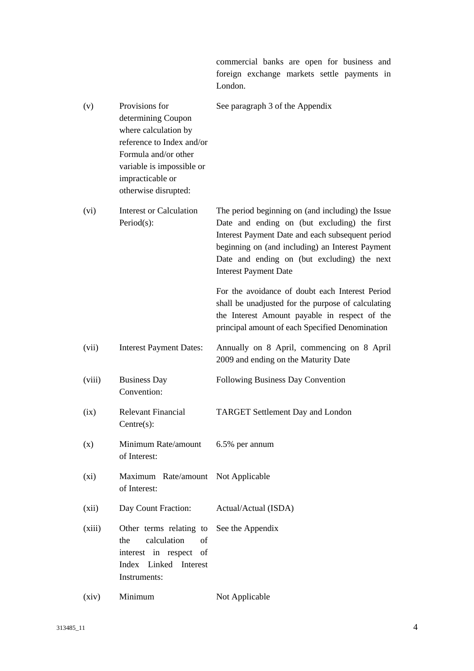commercial banks are open for business and foreign exchange markets settle payments in London.

| (v)    | Provisions for<br>determining Coupon<br>where calculation by<br>reference to Index and/or<br>Formula and/or other<br>variable is impossible or<br>impracticable or<br>otherwise disrupted: | See paragraph 3 of the Appendix                                                                                                                                                                                                                                                          |
|--------|--------------------------------------------------------------------------------------------------------------------------------------------------------------------------------------------|------------------------------------------------------------------------------------------------------------------------------------------------------------------------------------------------------------------------------------------------------------------------------------------|
| (vi)   | <b>Interest or Calculation</b><br>Period(s):                                                                                                                                               | The period beginning on (and including) the Issue<br>Date and ending on (but excluding) the first<br>Interest Payment Date and each subsequent period<br>beginning on (and including) an Interest Payment<br>Date and ending on (but excluding) the next<br><b>Interest Payment Date</b> |
|        |                                                                                                                                                                                            | For the avoidance of doubt each Interest Period<br>shall be unadjusted for the purpose of calculating<br>the Interest Amount payable in respect of the<br>principal amount of each Specified Denomination                                                                                |
| (vii)  | <b>Interest Payment Dates:</b>                                                                                                                                                             | Annually on 8 April, commencing on 8 April<br>2009 and ending on the Maturity Date                                                                                                                                                                                                       |
| (viii) | <b>Business Day</b><br>Convention:                                                                                                                                                         | Following Business Day Convention                                                                                                                                                                                                                                                        |
| (ix)   | <b>Relevant Financial</b><br>$Centre(s)$ :                                                                                                                                                 | <b>TARGET Settlement Day and London</b>                                                                                                                                                                                                                                                  |
| (x)    | Minimum Rate/amount<br>of Interest:                                                                                                                                                        | 6.5% per annum                                                                                                                                                                                                                                                                           |
| (xi)   | Maximum Rate/amount Not Applicable<br>of Interest:                                                                                                                                         |                                                                                                                                                                                                                                                                                          |
| (xii)  | Day Count Fraction:                                                                                                                                                                        | Actual/Actual (ISDA)                                                                                                                                                                                                                                                                     |
| (xiii) | Other terms relating to<br>calculation<br>the<br>of<br>interest in respect<br>of<br>Index Linked Interest<br>Instruments:                                                                  | See the Appendix                                                                                                                                                                                                                                                                         |
| (xiv)  | Minimum                                                                                                                                                                                    | Not Applicable                                                                                                                                                                                                                                                                           |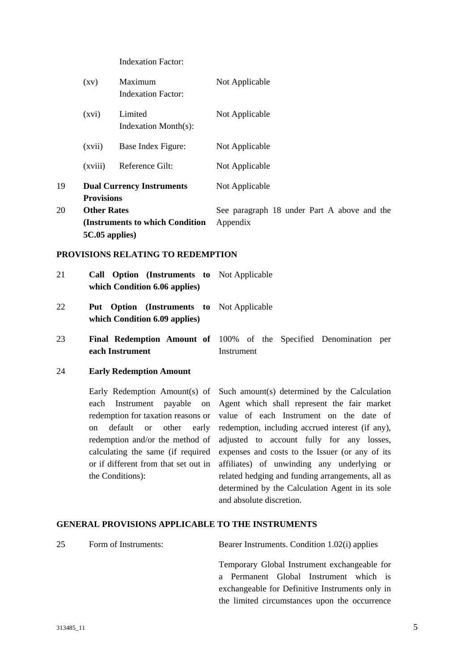Indexation Factor:

|    | (xv)               | Maximum<br><b>Indexation Factor:</b> | Not Applicable                              |
|----|--------------------|--------------------------------------|---------------------------------------------|
|    | (xvi)              | Limited<br>Indexation Month(s):      | Not Applicable                              |
|    | (xvii)             | Base Index Figure:                   | Not Applicable                              |
|    | (xviii)            | Reference Gilt:                      | Not Applicable                              |
| 19 | <b>Provisions</b>  | <b>Dual Currency Instruments</b>     | Not Applicable                              |
| 20 | <b>Other Rates</b> |                                      | See paragraph 18 under Part A above and the |
|    |                    | (Instruments to which Condition)     | Appendix                                    |
|    | 5C.05 applies)     |                                      |                                             |

### **PROVISIONS RELATING TO REDEMPTION**

the Conditions):

| 21 | Call Option (Instruments to Not Applicable<br>which Condition 6.06 applies)       |                                                                                                                                                                                                                                                                                                                                                                                            |
|----|-----------------------------------------------------------------------------------|--------------------------------------------------------------------------------------------------------------------------------------------------------------------------------------------------------------------------------------------------------------------------------------------------------------------------------------------------------------------------------------------|
| 22 | <b>Put Option (Instruments to Not Applicable</b><br>which Condition 6.09 applies) |                                                                                                                                                                                                                                                                                                                                                                                            |
| 23 | each Instrument                                                                   | Final Redemption Amount of 100% of the Specified Denomination per<br>Instrument                                                                                                                                                                                                                                                                                                            |
| 24 | <b>Early Redemption Amount</b>                                                    |                                                                                                                                                                                                                                                                                                                                                                                            |
|    | on                                                                                | Early Redemption Amount(s) of Such amount(s) determined by the Calculation<br>each Instrument payable on Agent which shall represent the fair market<br>redemption for taxation reasons or value of each Instrument on the date of<br>default or other early redemption, including accrued interest (if any),<br>redemption and/or the method of adjusted to account fully for any losses, |
|    |                                                                                   |                                                                                                                                                                                                                                                                                                                                                                                            |

calculating the same (if required expenses and costs to the Issuer (or any of its or if different from that set out in affiliates) of unwinding any underlying or related hedging and funding arrangements, all as determined by the Calculation Agent in its sole and absolute discretion.

### **GENERAL PROVISIONS APPLICABLE TO THE INSTRUMENTS**

| 25 | Form of Instruments: | Bearer Instruments. Condition 1.02(i) applies |
|----|----------------------|-----------------------------------------------|
|    |                      | $T = 0.111111116$                             |

Temporary Global Instrument exchangeable for a Permanent Global Instrument which is exchangeable for Definitive Instruments only in the limited circumstances upon the occurrence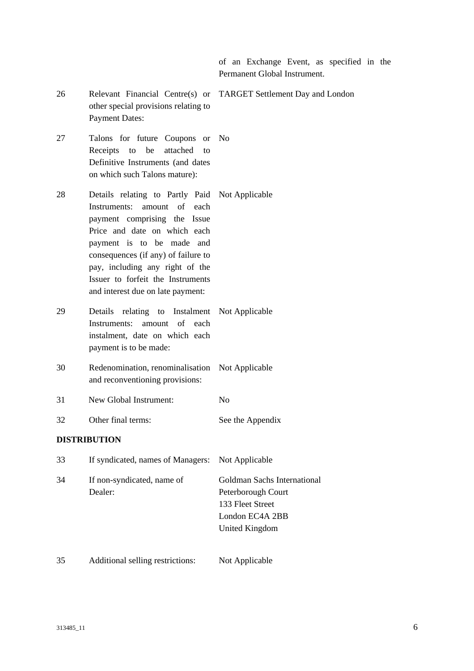of an Exchange Event, as specified in the Permanent Global Instrument.

- 26 Relevant Financial Centre(s) or TARGET Settlement Day and London other special provisions relating to Payment Dates:
- 27 Talons for future Coupons or No Receipts to be attached to Definitive Instruments (and dates on which such Talons mature):
- 28 Details relating to Partly Paid Not Applicable Instruments: amount of each payment comprising the Issue Price and date on which each payment is to be made and consequences (if any) of failure to pay, including any right of the Issuer to forfeit the Instruments and interest due on late payment:
- 29 Details relating to Instalment Not Applicable Instruments: amount of each instalment, date on which each payment is to be made:
- 30 Redenomination, renominalisation Not Applicable and reconventioning provisions:
- 31 New Global Instrument: No
- 32 Other final terms: See the Appendix

### **DISTRIBUTION**

- 33 If syndicated, names of Managers: Not Applicable 34 If non-syndicated, name of Dealer: Goldman Sachs International Peterborough Court 133 Fleet Street London EC4A 2BB United Kingdom
- 35 Additional selling restrictions: Not Applicable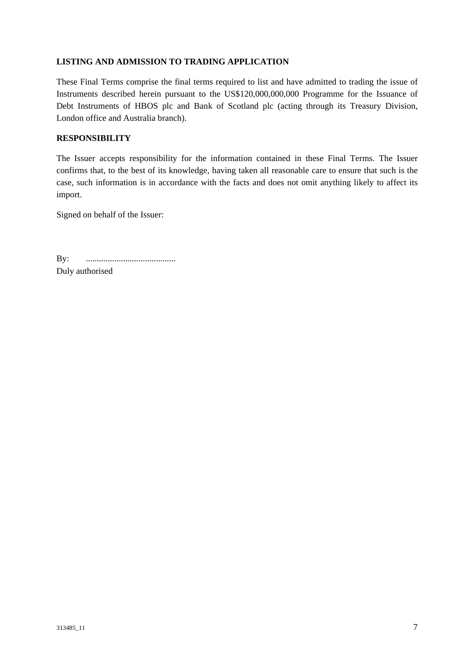## **LISTING AND ADMISSION TO TRADING APPLICATION**

These Final Terms comprise the final terms required to list and have admitted to trading the issue of Instruments described herein pursuant to the US\$120,000,000,000 Programme for the Issuance of Debt Instruments of HBOS plc and Bank of Scotland plc (acting through its Treasury Division, London office and Australia branch).

## **RESPONSIBILITY**

The Issuer accepts responsibility for the information contained in these Final Terms. The Issuer confirms that, to the best of its knowledge, having taken all reasonable care to ensure that such is the case, such information is in accordance with the facts and does not omit anything likely to affect its import.

Signed on behalf of the Issuer:

| By:             |  |
|-----------------|--|
| Duly authorised |  |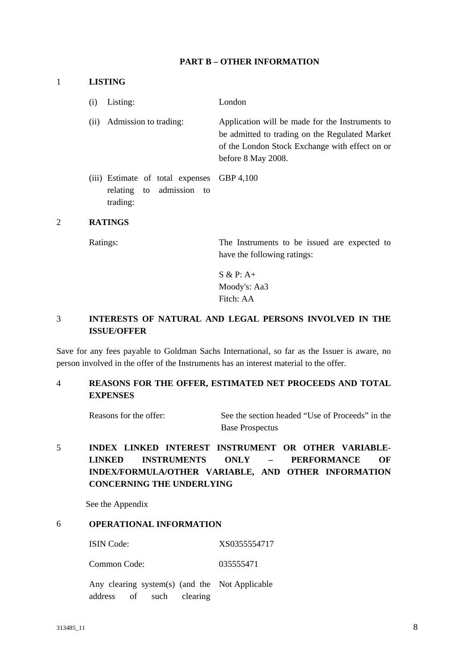### **PART B – OTHER INFORMATION**

#### 1 **LISTING**

- (i) Listing: London
- (ii) Admission to trading: Application will be made for the Instruments to be admitted to trading on the Regulated Market of the London Stock Exchange with effect on or before 8 May 2008.
- (iii) Estimate of total expenses relating to admission to trading: GBP 4,100

### 2 **RATINGS**

Ratings: The Instruments to be issued are expected to have the following ratings:

> S & P: A+ Moody's: Aa3 Fitch: AA

# 3 **INTERESTS OF NATURAL AND LEGAL PERSONS INVOLVED IN THE ISSUE/OFFER**

Save for any fees payable to Goldman Sachs International, so far as the Issuer is aware, no person involved in the offer of the Instruments has an interest material to the offer.

## 4 **REASONS FOR THE OFFER, ESTIMATED NET PROCEEDS AND TOTAL EXPENSES**

Reasons for the offer: See the section headed "Use of Proceeds" in the Base Prospectus

# 5 **INDEX LINKED INTEREST INSTRUMENT OR OTHER VARIABLE-LINKED INSTRUMENTS ONLY – PERFORMANCE OF INDEX/FORMULA/OTHER VARIABLE, AND OTHER INFORMATION CONCERNING THE UNDERLYING**

See the Appendix

### 6 **OPERATIONAL INFORMATION**

ISIN Code: XS0355554717

Common Code: 035555471

Any clearing system(s) (and the Not Applicable address of such clearing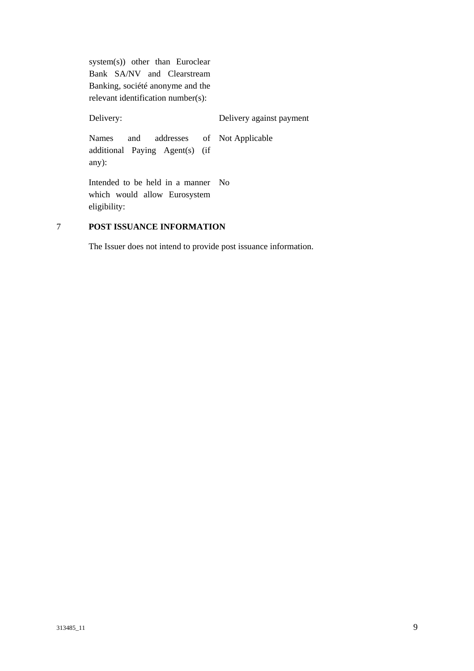system(s)) other than Euroclear Bank SA/NV and Clearstream Banking, société anonyme and the relevant identification number(s):

| Delivery:                                                                              | Delivery against payment |
|----------------------------------------------------------------------------------------|--------------------------|
| and addresses of Not Applicable<br>Names<br>additional Paying Agent(s) (if<br>$any)$ : |                          |
| Intended to be held in a manner No<br>which would allow Eurosystem<br>eligibility:     |                          |

## 7 **POST ISSUANCE INFORMATION**

The Issuer does not intend to provide post issuance information.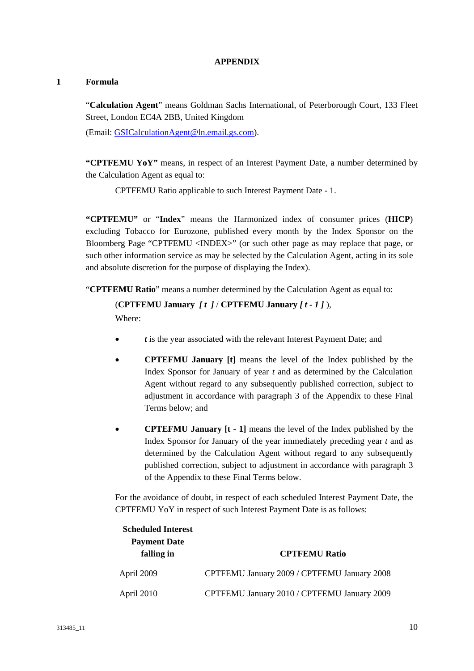### **APPENDIX**

### **1 Formula**

"**Calculation Agent**" means Goldman Sachs International, of Peterborough Court, 133 Fleet Street, London EC4A 2BB, United Kingdom

(Email: [GSICalculationAgent@ln.email.gs.com\)](mailto:GSICalculationAgent@ln.email.gs.com).

**"CPTFEMU YoY"** means, in respect of an Interest Payment Date, a number determined by the Calculation Agent as equal to:

CPTFEMU Ratio applicable to such Interest Payment Date - 1.

**"CPTFEMU"** or "**Index**" means the Harmonized index of consumer prices (**HICP**) excluding Tobacco for Eurozone, published every month by the Index Sponsor on the Bloomberg Page "CPTFEMU <INDEX>" (or such other page as may replace that page, or such other information service as may be selected by the Calculation Agent, acting in its sole and absolute discretion for the purpose of displaying the Index).

"**CPTFEMU Ratio**" means a number determined by the Calculation Agent as equal to:

```
(CPTFEMU January [ t ] / CPTFEMU January [ t - 1 ] ), 
Where:
```
- *t* is the year associated with the relevant Interest Payment Date; and
- **CPTEFMU January [t]** means the level of the Index published by the Index Sponsor for January of year *t* and as determined by the Calculation Agent without regard to any subsequently published correction, subject to adjustment in accordance with paragraph 3 of the Appendix to these Final Terms below; and
- **CPTEFMU January [t 1]** means the level of the Index published by the Index Sponsor for January of the year immediately preceding year *t* and as determined by the Calculation Agent without regard to any subsequently published correction, subject to adjustment in accordance with paragraph 3 of the Appendix to these Final Terms below.

For the avoidance of doubt, in respect of each scheduled Interest Payment Date, the CPTFEMU YoY in respect of such Interest Payment Date is as follows:

| <b>Scheduled Interest</b> |                                             |
|---------------------------|---------------------------------------------|
| <b>Payment Date</b>       |                                             |
| falling in                | <b>CPTFEMU Ratio</b>                        |
| April 2009                | CPTFEMU January 2009 / CPTFEMU January 2008 |
| April 2010                | CPTFEMU January 2010 / CPTFEMU January 2009 |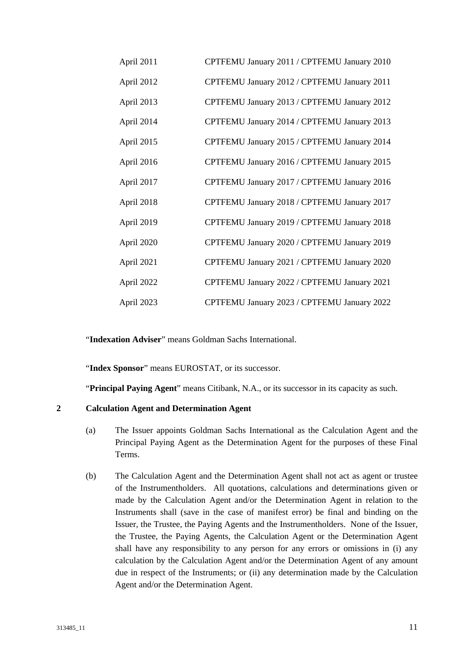| April 2011 | CPTFEMU January 2011 / CPTFEMU January 2010 |
|------------|---------------------------------------------|
| April 2012 | CPTFEMU January 2012 / CPTFEMU January 2011 |
| April 2013 | CPTFEMU January 2013 / CPTFEMU January 2012 |
| April 2014 | CPTFEMU January 2014 / CPTFEMU January 2013 |
| April 2015 | CPTFEMU January 2015 / CPTFEMU January 2014 |
| April 2016 | CPTFEMU January 2016 / CPTFEMU January 2015 |
| April 2017 | CPTFEMU January 2017 / CPTFEMU January 2016 |
| April 2018 | CPTFEMU January 2018 / CPTFEMU January 2017 |
| April 2019 | CPTFEMU January 2019 / CPTFEMU January 2018 |
| April 2020 | CPTFEMU January 2020 / CPTFEMU January 2019 |
| April 2021 | CPTFEMU January 2021 / CPTFEMU January 2020 |
| April 2022 | CPTFEMU January 2022 / CPTFEMU January 2021 |
| April 2023 | CPTFEMU January 2023 / CPTFEMU January 2022 |

"**Indexation Adviser**" means Goldman Sachs International.

"**Index Sponsor**" means EUROSTAT, or its successor.

"**Principal Paying Agent**" means Citibank, N.A., or its successor in its capacity as such.

## **2 Calculation Agent and Determination Agent**

- (a) The Issuer appoints Goldman Sachs International as the Calculation Agent and the Principal Paying Agent as the Determination Agent for the purposes of these Final Terms.
- (b) The Calculation Agent and the Determination Agent shall not act as agent or trustee of the Instrumentholders. All quotations, calculations and determinations given or made by the Calculation Agent and/or the Determination Agent in relation to the Instruments shall (save in the case of manifest error) be final and binding on the Issuer, the Trustee, the Paying Agents and the Instrumentholders. None of the Issuer, the Trustee, the Paying Agents, the Calculation Agent or the Determination Agent shall have any responsibility to any person for any errors or omissions in (i) any calculation by the Calculation Agent and/or the Determination Agent of any amount due in respect of the Instruments; or (ii) any determination made by the Calculation Agent and/or the Determination Agent.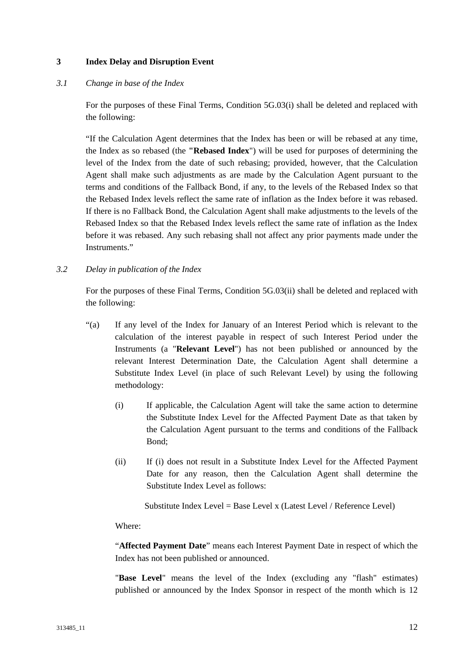### **3 Index Delay and Disruption Event**

#### *3.1 Change in base of the Index*

For the purposes of these Final Terms, Condition 5G.03(i) shall be deleted and replaced with the following:

"If the Calculation Agent determines that the Index has been or will be rebased at any time, the Index as so rebased (the **"Rebased Index**") will be used for purposes of determining the level of the Index from the date of such rebasing; provided, however, that the Calculation Agent shall make such adjustments as are made by the Calculation Agent pursuant to the terms and conditions of the Fallback Bond, if any, to the levels of the Rebased Index so that the Rebased Index levels reflect the same rate of inflation as the Index before it was rebased. If there is no Fallback Bond, the Calculation Agent shall make adjustments to the levels of the Rebased Index so that the Rebased Index levels reflect the same rate of inflation as the Index before it was rebased. Any such rebasing shall not affect any prior payments made under the Instruments."

### *3.2 Delay in publication of the Index*

For the purposes of these Final Terms, Condition 5G.03(ii) shall be deleted and replaced with the following:

- "(a) If any level of the Index for January of an Interest Period which is relevant to the calculation of the interest payable in respect of such Interest Period under the Instruments (a "**Relevant Level**") has not been published or announced by the relevant Interest Determination Date, the Calculation Agent shall determine a Substitute Index Level (in place of such Relevant Level) by using the following methodology:
	- (i) If applicable, the Calculation Agent will take the same action to determine the Substitute Index Level for the Affected Payment Date as that taken by the Calculation Agent pursuant to the terms and conditions of the Fallback Bond;
	- (ii) If (i) does not result in a Substitute Index Level for the Affected Payment Date for any reason, then the Calculation Agent shall determine the Substitute Index Level as follows:

Substitute Index Level = Base Level x (Latest Level / Reference Level)

Where:

"**Affected Payment Date**" means each Interest Payment Date in respect of which the Index has not been published or announced.

"**Base Level**" means the level of the Index (excluding any "flash" estimates) published or announced by the Index Sponsor in respect of the month which is 12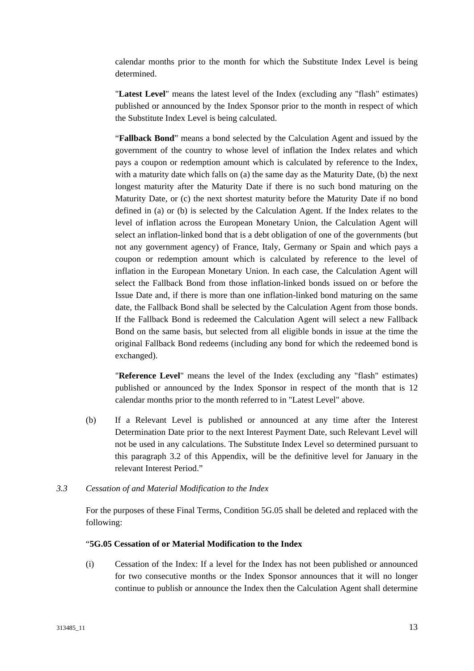calendar months prior to the month for which the Substitute Index Level is being determined.

"**Latest Level**" means the latest level of the Index (excluding any "flash" estimates) published or announced by the Index Sponsor prior to the month in respect of which the Substitute Index Level is being calculated.

"**Fallback Bond**" means a bond selected by the Calculation Agent and issued by the government of the country to whose level of inflation the Index relates and which pays a coupon or redemption amount which is calculated by reference to the Index, with a maturity date which falls on (a) the same day as the Maturity Date, (b) the next longest maturity after the Maturity Date if there is no such bond maturing on the Maturity Date, or (c) the next shortest maturity before the Maturity Date if no bond defined in (a) or (b) is selected by the Calculation Agent. If the Index relates to the level of inflation across the European Monetary Union, the Calculation Agent will select an inflation-linked bond that is a debt obligation of one of the governments (but not any government agency) of France, Italy, Germany or Spain and which pays a coupon or redemption amount which is calculated by reference to the level of inflation in the European Monetary Union. In each case, the Calculation Agent will select the Fallback Bond from those inflation-linked bonds issued on or before the Issue Date and, if there is more than one inflation-linked bond maturing on the same date, the Fallback Bond shall be selected by the Calculation Agent from those bonds. If the Fallback Bond is redeemed the Calculation Agent will select a new Fallback Bond on the same basis, but selected from all eligible bonds in issue at the time the original Fallback Bond redeems (including any bond for which the redeemed bond is exchanged).

"**Reference Level**" means the level of the Index (excluding any "flash" estimates) published or announced by the Index Sponsor in respect of the month that is 12 calendar months prior to the month referred to in "Latest Level" above.

- (b) If a Relevant Level is published or announced at any time after the Interest Determination Date prior to the next Interest Payment Date, such Relevant Level will not be used in any calculations. The Substitute Index Level so determined pursuant to this paragraph 3.2 of this Appendix, will be the definitive level for January in the relevant Interest Period."
- *3.3 Cessation of and Material Modification to the Index*

For the purposes of these Final Terms, Condition 5G.05 shall be deleted and replaced with the following:

### "**5G.05 Cessation of or Material Modification to the Index**

(i) Cessation of the Index: If a level for the Index has not been published or announced for two consecutive months or the Index Sponsor announces that it will no longer continue to publish or announce the Index then the Calculation Agent shall determine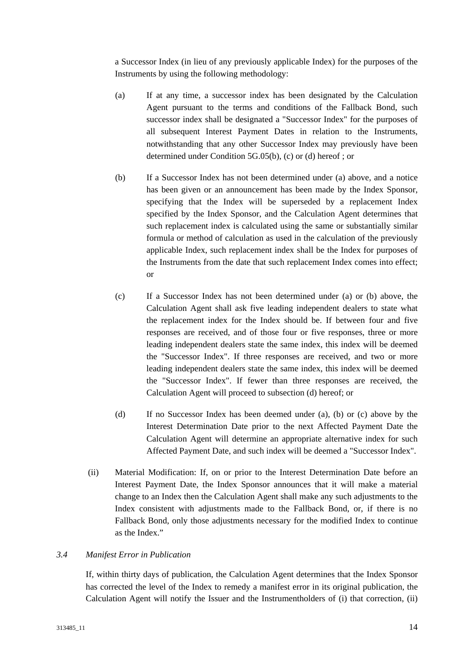a Successor Index (in lieu of any previously applicable Index) for the purposes of the Instruments by using the following methodology:

- (a) If at any time, a successor index has been designated by the Calculation Agent pursuant to the terms and conditions of the Fallback Bond, such successor index shall be designated a "Successor Index" for the purposes of all subsequent Interest Payment Dates in relation to the Instruments, notwithstanding that any other Successor Index may previously have been determined under Condition 5G.05(b), (c) or (d) hereof ; or
- (b) If a Successor Index has not been determined under (a) above, and a notice has been given or an announcement has been made by the Index Sponsor, specifying that the Index will be superseded by a replacement Index specified by the Index Sponsor, and the Calculation Agent determines that such replacement index is calculated using the same or substantially similar formula or method of calculation as used in the calculation of the previously applicable Index, such replacement index shall be the Index for purposes of the Instruments from the date that such replacement Index comes into effect; or
- (c) If a Successor Index has not been determined under (a) or (b) above, the Calculation Agent shall ask five leading independent dealers to state what the replacement index for the Index should be. If between four and five responses are received, and of those four or five responses, three or more leading independent dealers state the same index, this index will be deemed the "Successor Index". If three responses are received, and two or more leading independent dealers state the same index, this index will be deemed the "Successor Index". If fewer than three responses are received, the Calculation Agent will proceed to subsection (d) hereof; or
- (d) If no Successor Index has been deemed under (a), (b) or (c) above by the Interest Determination Date prior to the next Affected Payment Date the Calculation Agent will determine an appropriate alternative index for such Affected Payment Date, and such index will be deemed a "Successor Index".
- (ii) Material Modification: If, on or prior to the Interest Determination Date before an Interest Payment Date, the Index Sponsor announces that it will make a material change to an Index then the Calculation Agent shall make any such adjustments to the Index consistent with adjustments made to the Fallback Bond, or, if there is no Fallback Bond, only those adjustments necessary for the modified Index to continue as the Index."

## *3.4 Manifest Error in Publication*

If, within thirty days of publication, the Calculation Agent determines that the Index Sponsor has corrected the level of the Index to remedy a manifest error in its original publication, the Calculation Agent will notify the Issuer and the Instrumentholders of (i) that correction, (ii)